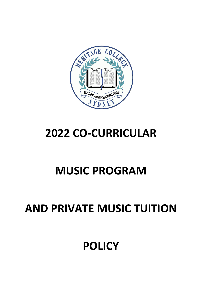### **POLICY**

### **AND PRIVATE MUSIC TUITION**

# **MUSIC PROGRAM**

## **2022 CO-CURRICULAR**

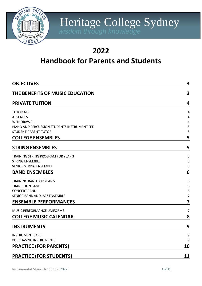

### **2022**

### **Handbook for Parents and Students**

| <b>OBJECTIVES</b>                                          | 3          |
|------------------------------------------------------------|------------|
| THE BENEFITS OF MUSIC EDUCATION                            | 3          |
| <b>PRIVATE TUITION</b>                                     | 4          |
| <b>TUTORIALS</b>                                           | 4          |
| <b>ABSENCES</b>                                            | 4          |
| WITHDRAWAL<br>PIANO AND PERCUSSION STUDENTS INSTRUMENT FEE | 4<br>5     |
| STUDENT-PARENT-TUTOR                                       | 5          |
| <b>COLLEGE ENSEMBLES</b>                                   | 5          |
| <b>STRING ENSEMBLES</b>                                    | 5          |
| TRAINING STRING PROGRAM FOR YEAR 3                         | 5          |
| <b>STRING ENSEMBLE</b>                                     | 5          |
| <b>SENIOR STRING ENSEMBLE</b>                              | 5          |
| <b>BAND ENSEMBLES</b>                                      | 6          |
| <b>TRAINING BAND FOR YEAR 5</b>                            | 6          |
| <b>TRANSITION BAND</b>                                     | 6          |
| <b>CONCERT BAND</b>                                        | 6          |
| SENIOR BAND AND JAZZ ENSEMBLE                              | 7          |
| <b>ENSEMBLE PERFORMANCES</b>                               | 7          |
| MUSIC PERFORMANCE UNIFORMS                                 | 7          |
| <b>COLLEGE MUSIC CALENDAR</b>                              | 8          |
| <b>INSTRUMENTS</b>                                         | 9          |
| <b>INSTRUMENT CARE</b>                                     | 9          |
| PURCHASING INSTRUMENTS                                     | 9          |
| <b>PRACTICE (FOR PARENTS)</b>                              | <u>10</u>  |
| <b>PRACTICE (FOR STUDENTS)</b>                             | <u> 11</u> |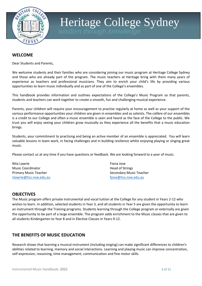

#### **WELCOME**

Dear Students and Parents,

We welcome students and their families who are considering joining our music program at Heritage College Sydney and those who are already part of the program. The music teachers at Heritage bring with them many years of experience as teachers and professional musicians. They aim to enrich your child's life by providing various opportunities to learn music individually and as part of one of the College's ensembles.

This handbook provides information and outlines expectations of the College's Music Program so that parents, students and teachers can work together to create a smooth, fun and challenging musical experience.

Parents, your children will require your encouragement to practise regularly at home as well as your support of the various performance opportunities your children are given in ensembles and as soloists. The calibre of our ensembles is a credit to our College and often a music ensemble is seen and heard as the face of the College to the public. We trust you will enjoy seeing your children grow musically as they experience all the benefits that a music education brings.

Students, your commitment to practising and being an active member of an ensemble is appreciated. You will learn valuable lessons in team work, in facing challenges and in building resilience whilst enjoying playing or singing great music.

Please contact us at any time if you have questions or feedback. We are looking forward to a year of music.

Nita Lawrie **Fional Accord Contract Contract Contract Contract Contract Contract Contract Contract Contract Contract Contract Contract Contract Contract Contract Contract Contract Contract Contract Contract Contract Contra** Music Coordinator **Music Coordinator Head of Strings** Primary Music Teacher Secondary Music Teacher Secondary Music Teacher [nlawrie@hcs.nsw.edu.au](mailto:nlawrie@hcs.nsw.edu.au) fiose@hcs.nsw.edu.au fiose@hcs.nsw.edu.au

#### <span id="page-2-0"></span>**OBJECTIVES**

The Music program offers private instrumental and vocal tuition at the College for any student in Years 2-12 who wishes to learn. In addition, selected students in Year 3, and all students in Year 5 are given the opportunity to learn an instrument through the Training programs. Students learning through the College program or externally are given the opportunity to be part of a large ensemble. The program adds enrichment to the Music classes that are given to all students Kindergarten to Year 8 and in Elective Classes in Years 9-12.

#### <span id="page-2-1"></span>**THE BENEFITS OF MUSIC EDUCATION**

Research shows that learning a musical instrument (including singing) can make significant differences to children's abilities related to learning, memory and social interactions. Learning and playing music can improve concentration, self-expression, reasoning, time management, communication and fine motor skills.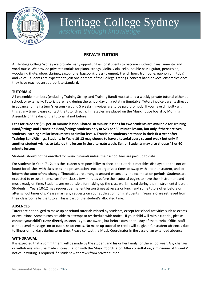

### **PRIVATE TUITION**

<span id="page-3-0"></span>At Heritage College Sydney we provide many opportunities for students to become involved in instrumental and vocal music. We provide private tutorials for piano, strings (violin, viola, cello, double bass), guitar, percussion, woodwind (flute, oboe, clarinet, saxophone, bassoon), brass (trumpet, French horn, trombone, euphonium, tuba) and voice. Students are expected to join one or more of the College's strings, concert band or vocal ensembles once they have reached an appropriate standard.

#### <span id="page-3-1"></span>**TUTORIALS**

All ensemble members (excluding Training Strings and Training Band) must attend a weekly private tutorial either at school, or externally. Tutorials are held during the school day on a rotating timetable. Tutors invoice parents directly in advance for half a term's lessons (around 5 weeks). Invoices are to be paid promptly. If you have difficulty with this at any time, please contact the tutor directly. Timetables are placed on the Music notice board by Morning Assembly on the day of the tutorial, if not before.

**Fees for 2022 are \$39 per 30 minute lesson. Shared 30 minute lessons for two students are available for Training Band/Strings and Transition Band/Strings students only at \$23 per 30 minute lesson, but only if there are two students learning similar instruments at similar levels. Transition students are those in their first year after Training Band/Strings. Students in Years 10-12 may choose to have a tutorial every second week but only if another student wishes to take up the lesson in the alternate week. Senior Students may also choose 45 or 60 minute lessons.**

Students should not be enrolled for music tutorials unless their school fees are paid up to date.

For Students in Years 7-12, it is the student's responsibility to check the tutorial timetables displayed on the notice board for clashes with class tests and presentations etc, to organize a timeslot swap with another student, and to **inform the tutor of the change.** Timetables are arranged around excursions and examination periods. Students are expected to excuse themselves from class a few minutes before their tutorial begins to have their instrument and music ready on time. Students are responsible for making up the class work missed during their instrumental lesson. Students in Years 10-12 may request permanent lesson times at recess or lunch and some tutors offer before or after school timeslots. Please mark any requests on your application form. Students in Years 2-6 are retrieved from their classrooms by the tutors. This is part of the student's allocated time.

#### <span id="page-3-2"></span>**ABSENCES**

Tutors are not obliged to make up or refund tutorials missed by students, except for school activities such as exams or excursions. Some tutors are able to attempt to reschedule with notice. If your child will miss a tutorial, please contact **your child's tutor directly** as soon as you are aware, but before 8am on the day of the tutorial. Office staff cannot send messages on to tutors re absences. No make up tutorial or credit will be given for student absences due to illness or holidays during term time. Please contact the Music Coordinator in the case of an extended absence.

#### <span id="page-3-3"></span>**WITHDRAWAL**

It is expected that a commitment will be made by the student and his or her family for the school year. Any changes or withdrawal must be made in consultation with the Music Coordinator. After consultation, a minimum of 4 weeks' notice in writing is required if a student withdraws from private tuition.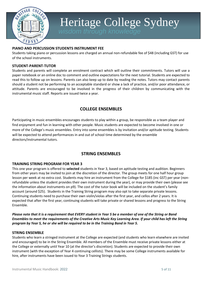

#### <span id="page-4-0"></span>**PIANO AND PERCUSSION STUDENTS INSTRUMENT FEE**

Students taking piano or percussion lessons are charged an annual non-refundable fee of \$48 (including GST) for use of the school instruments.

#### <span id="page-4-1"></span>**STUDENT-PARENT-TUTOR**

Students and parents will complete an enrolment contract which will outline their commitments. Tutors will use a paper notebook or an online doc to comment and outline expectations for the next tutorial. Students are expected to read this to follow up on lessons. Parents can also keep up to date by reading the notes. Tutors may contact parents should a student not be performing to an acceptable standard or show a lack of practice, and/or poor attendance, or attitude. Parents are encouraged to be involved in the progress of their children by communicating with the instrumental music staff. Reports are issued twice a year.

### **COLLEGE ENSEMBLES**

<span id="page-4-2"></span>Participating in music ensembles encourages students to play within a group, be responsible as a team player and find enjoyment and fun in learning with other people. Music students are expected to become involved in one or more of the College's music ensembles. Entry into some ensembles is by invitation and/or aptitude testing. Students will be expected to attend performances in and out of school time determined by the ensemble directors/instrumental tutors.

### **STRING ENSEMBLES**

#### <span id="page-4-4"></span><span id="page-4-3"></span>**TRAINING STRING PROGRAM FOR YEAR 3**

This one year program is offered to **selected** students in Year 3, based on aptitude testing and audition. Beginners from other years may be invited to join at the discretion of the director. The group meets for one half hour group lesson per week at no extra cost. Students may hire an instrument from the College for \$185 (inc GST) per year (nonrefundable unless the student provides their own instrument during the year), or may provide their own (please see the information about instruments on p9). The cost of the tutor book will be included on the student's family account (around \$25). Students in the Training String program may also opt to take separate private lessons. Continuing students need to purchase their own violin/violas after the first year, and cellos after 2 years. It is expected that after the first year, continuing students will take private or shared lessons and progress to the String Ensemble.

*Please note that it is a requirement that EVERY student in Year 5 be a member of one of the String or Band Ensembles to meet the requirements of the Creative Arts Music Key Learning Area. If your child has left the String program by Year 5, he or she will be required to be in the Training Band in Year 5.*

#### <span id="page-4-5"></span>**STRING ENSEMBLE**

Students who learn a stringed instrument at the College are expected (and students who learn elsewhere are invited and encouraged) to be in the String Ensemble. All members of the Ensemble must receive private lessons either at the College or externally until Year 10 (at the director's discretion). Students are expected to provide their own instrument (with the exception of Year 4 continuing cellists). There may be some College instruments available for hire, after instruments have been issued to Year 3 Training Strings students.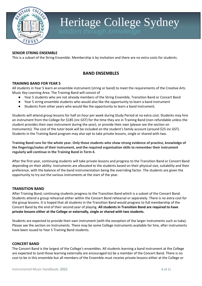

#### <span id="page-5-0"></span>**SENIOR STRING ENSEMBLE**

This is a subset of the String Ensemble. Membership is by invitation and there are no extra costs for students.

#### **BAND ENSEMBLES**

#### <span id="page-5-2"></span><span id="page-5-1"></span>**TRAINING BAND FOR YEAR 5**

All students in Year 5 learn an ensemble instrument (string or band) to meet the requirements of the Creative Arts Music Key Learning Area. The Training Band will consist of

- Year 5 students who are not already members of the String Ensemble, Transition Band or Concert Band
- Year 5 string ensemble students who would also like the opportunity to learn a band instrument
- Students from other years who would like the opportunity to learn a band instrument.

Students will attend group lessons for half an hour per week during Study Period at no extra cost. Students may hire an instrument from the College for \$185 (inc GST) for the time they are in Training Band (non-refundable unless the student provides their own instrument during the year), or provide their own (please see the section on Instruments). The cost of the tutor book will be included on the student's family account (around \$25 inc GST). Students in the Training Band program may also opt to take private lessons, single or shared with two.

**Training Band runs for the whole year. Only those students who show strong evidence of practice, knowledge of the fingerings/notes of their instrument, and the required organisation skills to remember their instrument regularly will continue in the Training Band in Term 4.**

After the first year, continuing students will take private lessons and progress to the Transition Band or Concert Band depending on their ability. Instruments are allocated to the students based on their physical size, suitability and their preference, with the balance of the band instrumentation being the overriding factor. The students are given the opportunity to try out the various instruments at the start of the year.

#### <span id="page-5-3"></span>**TRANSITION BAND**

After Training Band, continuing students progress to the Transition Band which is a subset of the Concert Band. Students attend a group rehearsal either within the Concert Band rehearsal or separately. There is no extra cost for the group lessons. It is hoped that all students in the Transition Band would progress to full membership of the Concert Band by the end of their second year of playing. **All students in Transition Band are required to have private lessons either at the College or externally, single or shared with two students.** 

Students are expected to provide their own instrument (with the exception of the larger instruments such as tuba). Please see the section on Instruments. There may be some College instruments available for hire, after instruments have been issued to Year 5 Training Band students.

#### <span id="page-5-4"></span>**CONCERT BAND**

The Concert Band is the largest of the College's ensembles. All students learning a band instrument at the College are expected to (and those learning externally are encouraged to) be a member of the Concert Band. There is no cost to be in this ensemble but all members of the Ensemble must receive private lessons either at the College or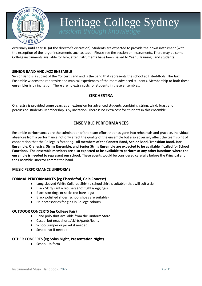

externally until Year 10 (at the director's discretion). Students are expected to provide their own instrument (with the exception of the larger instruments such as tuba). Please see the section on Instruments. There may be some College instruments available for hire, after instruments have been issued to Year 5 Training Band students.

#### <span id="page-6-0"></span>**SENIOR BAND AND JAZZ ENSEMBLE**

Senior Band is a subset of the Concert Band and is the band that represents the school at Eisteddfods. The Jazz Ensemble widens the repertoire and musical experiences of the more advanced students. Membership to both these ensembles is by invitation. There are no extra costs for students in these ensembles.

### **ORCHESTRA**

Orchestra is provided some years as an extension for advanced students combining string, wind, brass and percussion students. Membership is by invitation. There is no extra cost for students in this ensemble.

### **ENSEMBLE PERFORMANCES**

<span id="page-6-1"></span>Ensemble performances are the culmination of the team effort that has gone into rehearsals and practice. Individual absences from a performance not only affect the quality of the ensemble but also adversely affect the team spirit of cooperation that the College is fostering. **All members of the Concert Band, Senior Band, Transition Band, Jazz Ensemble, Orchestra, String Ensemble, and Senior String Ensemble are expected to be available if called for School Functions. The ensemble members are also expected to be available to perform at any other functions where the ensemble is needed to represent our school.** These events would be considered carefully before the Principal and the Ensemble Director commit the band.

#### <span id="page-6-2"></span>**MUSIC PERFORMANCE UNIFORMS**

#### **FORMAL PERFORMANCES (eg Eisteddfod, Gala Concert)**

- Long sleeved White Collared Shirt (a school shirt is suitable) that will suit a tie
- Black Skirt/Pants/Trousers (not tights/leggings)
- Black stockings or socks (no bare legs)
- Black polished shoes (school shoes are suitable)
- Hair accessories for girls in College colours

#### **OUTDOOR CONCERTS (eg College Fair)**

- Band polo shirt available from the Uniform Store
- Casual but neat shorts/skirts/pants/jeans
- School jumper or jacket if needed
- School hat if needed

#### <span id="page-6-3"></span>**OTHER CONCERTS (eg Solos Night, Presentation Night)**

● School Uniform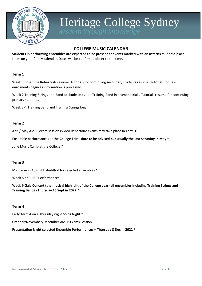

### **COLLEGE MUSIC CALENDAR**

**Students in performing ensembles are expected to be present at events marked with an asterisk \*.** Please place them on your family calendar. Dates will be confirmed closer to the time.

#### **Term 1**

Week 1 Ensemble Rehearsals resume. Tutorials for continuing secondary students resume. Tutorials for new enrolments begin as information is processed.

Week 2 Training Strings and Band aptitude tests and Training Band instrument trials. Tutorials resume for continuing primary students.

Week 3-4 Training Band and Training Strings begin

#### **Term 2**

April/ May AMEB exam session (Video Repertoire exams may take place in Term 1)

Ensemble performances at the **College Fair – date to be advised but usually the last Saturday in May \***

June Music Camp at the College **\***

#### **Term 3**

Mid Term in August Eisteddfod for selected ensembles \*

Week 8 or 9 HSC Performances

Week 9 **Gala Concert (the musical highlight of the College year) all ensembles including Training Strings and Training Band) - Thursday 15 Sept in 2022 \***

#### **Term 4**

Early Term 4 on a Thursday night **Solos Night \***

October/November/December AMEB Exams Session

#### **Presentation Night selected Ensemble Performances – Thursday 8 Dec in 2022 \***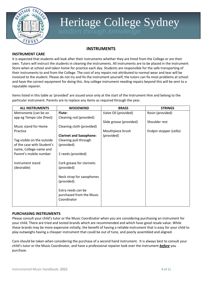

### **INSTRUMENTS**

#### <span id="page-8-1"></span><span id="page-8-0"></span>**INSTRUMENT CARE**

It is expected that students will look after their instruments whether they are hired from the College or are their own. Tutors will instruct the students in cleaning the instruments. All instruments are to be placed in the Instrument Store when at school and taken home for practice each day. Students are responsible for the safe transporting of their instruments to and from the College. The cost of any repairs not attributed to normal wear and tear will be invoiced to the student. Please do not try and fix the instrument yourself; the tutors can fix most problems at school and have the correct equipment for doing this. Any college instrument needing repairs beyond this will be sent to a reputable repairer.

Items listed in this table as 'provided' are issued once only at the start of the Instrument Hire and belong to the particular instrument. Parents are to replace any items as required through the year.

| <b>ALL INSTRUMENTS</b>     | <b>WOODWIND</b>                | <b>BRASS</b>            | <b>STRINGS</b>         |
|----------------------------|--------------------------------|-------------------------|------------------------|
| Metronome (can be an       | Flute:                         | Valve Oil (provided)    | Rosin (provided)       |
| app eg Tempo Lite (free))  | Cleaning rod (provided)        |                         |                        |
|                            |                                | Slide grease (provided) | Shoulder rest          |
| Music stand for Home       | Cleaning cloth (provided)      |                         |                        |
| Practice                   |                                | Mouthpiece brush        | Endpin stopper (cello) |
|                            | <b>Clarinet and Saxophone:</b> | (provided)              |                        |
| Tag visible on the outside | Cleaning pull through          |                         |                        |
| of the case with Student's | (provided)                     |                         |                        |
| name, College name and     |                                |                         |                        |
| Parent's mobile number     | 2 reeds (provided)             |                         |                        |
|                            |                                |                         |                        |
| Instrument stand           | Cork grease for clarinets      |                         |                        |
| (desirable)                | (provided)                     |                         |                        |
|                            |                                |                         |                        |
|                            | Neck strap for saxophones      |                         |                        |
|                            | (provided)                     |                         |                        |
|                            |                                |                         |                        |
|                            | Extra reeds can be             |                         |                        |
|                            | purchased from the Music       |                         |                        |
|                            | Coordinator                    |                         |                        |
|                            |                                |                         |                        |

#### <span id="page-8-2"></span>**PURCHASING INSTRUMENTS**

Please consult your child's tutor or the Music Coordinator when you are considering purchasing an instrument for your child. There are tried and tested brands which are recommended and which have good resale value. While these brands may be more expensive initially, the benefit of having a reliable instrument that is easy for your child to play outweighs having a cheaper instrument that could be out of tune, and poorly assembled and aligned.

Care should be taken when considering the purchase of a second hand instrument. It is always best to consult your child's tutor or the Music Coordinator, and have a professional repairer look over the instrument *before* you purchase.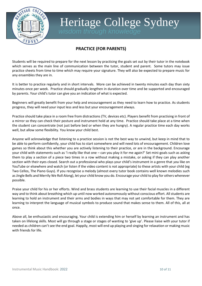

### **PRACTICE (FOR PARENTS)**

<span id="page-9-0"></span>Students will be required to prepare for the next lesson by practising the goals set out by their tutor in the notebook which serves as the main line of communication between the tutor, student and parent. Some tutors may issue practice sheets from time to time which may require your signature. They will also be expected to prepare music for any ensembles they are in.

It is better to practice regularly and in short intervals. More can be achieved in twenty minutes each day than sixty minutes once per week. Practice should gradually lengthen in duration over time and be supported and encouraged by parents. Your child's tutor can give you an indication of what is expected.

Beginners will greatly benefit from your help and encouragement as they need to learn how to practice. As students progress, they will need your input less and less but your encouragement always.

Practice should take place in a room free from distractions (TV, devices etc). Players benefit from practising in front of a mirror so they can check their posture and instrument hold at any time. Practice should take place at a time when the student can concentrate (not just before bed or when they are hungry). A regular practice time each day works well, but allow some flexibility. You know your child best.

Anyone will acknowledge that listening to a practice session is not the best way to unwind, but keep in mind that to be able to perform confidently, your child has to start somewhere and will need lots of encouragement. Children love games so think about this whether you are actively listening to their practice, or are in the background. Encourage your child with statements such as 'I really like that one – can you play it for me again?' Set mini-goals such as asking them to play a section of a piece two times in a row without making a mistake, or asking if they can play another section with their eyes closed. Search out a professional who plays your child's instrument in a genre that *you* like on YouTube or elsewhere and watch (or listen if the video content is not appropriate) to these artists with your child (eg Two Cellos, The Piano Guys). If you recognise a melody (almost every tutor book contains well known melodies such as Jingle Bells and Merrily We Roll Along), let your child know you do. Encourage your child to play for others whenever possible.

Praise your child for his or her efforts. Wind and brass students are learning to use their facial muscles in a different way and to think about breathing which up until now worked autonomously without conscious effort. All students are learning to hold an instrument and their arms and bodies in ways that may not yet comfortable for them. They are learning to interpret the language of musical symbols to produce sound that makes sense to them. All of this, all at once.

<span id="page-9-1"></span>Above all, be enthusiastic and encouraging. Your child is extending him or herself by learning an instrument and has taken on lifelong skills. Most will go through a stage or stages of wanting to 'give up'. Please liaise with your tutor if needed as children can't see the end goal. Happily, most will end up playing and singing for relaxation or making music with friends for life.